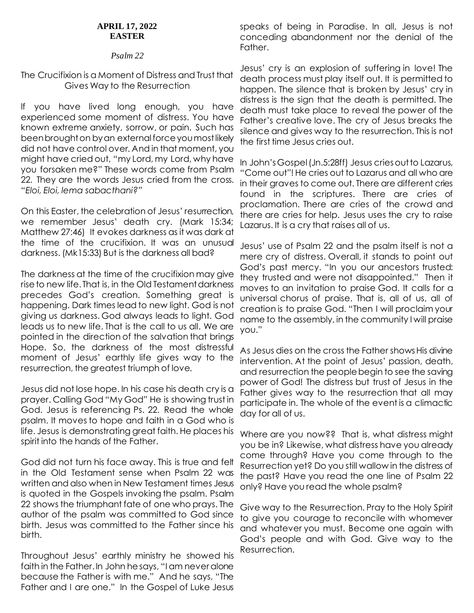#### **APRIL 17, 2022 EASTER**

### *Psalm 22*

# The Crucifixion is a Moment of Distress and Trust that Gives Way to the Resurrection

If you have lived long enough, you have experienced some moment of distress. You have known extreme anxiety, sorrow, or pain. Such has been brought on by an external force you most likely did not have control over. And in that moment, you might have cried out, "my Lord, my Lord, why have you forsaken me?" These words come from Psalm 22. They are the words Jesus cried from the cross. *"Eloi, Eloi, lema sabacthani?"*

On this Easter, the celebration of Jesus' resurrection, we remember Jesus' death cry. (Mark 15:34; Matthew 27:46) It evokes darkness as it was dark at the time of the crucifixion. It was an unusual darkness. (Mk15:33) But is the darkness all bad?

The darkness at the time of the crucifixion may give rise to new life. That is, in the Old Testament darkness precedes God's creation. Something great is happening. Dark times lead to new light. God is not giving us darkness. God always leads to light. God leads us to new life. That is the call to us all. We are pointed in the direction of the salvation that brings Hope. So, the darkness of the most distressful moment of Jesus' earthly life gives way to the resurrection, the greatest triumph of love.

Jesus did not lose hope. In his case his death cry is a prayer. Calling God "My God" He is showing trust in God. Jesus is referencing Ps. 22. Read the whole psalm. It moves to hope and faith in a God who is life. Jesus is demonstrating great faith. He places his spirit into the hands of the Father.

God did not turn his face away. This is true and felt in the Old Testament sense when Psalm 22 was written and also when in New Testament times Jesus is quoted in the Gospels invoking the psalm. Psalm 22 shows the triumphant fate of one who prays. The author of the psalm was committed to God since birth. Jesus was committed to the Father since his birth.

Throughout Jesus' earthly ministry he showed his faith in the Father. In John he says, "I am never alone because the Father is with me." And he says, "The Father and I are one." In the Gospel of Luke Jesus

speaks of being in Paradise. In all, Jesus is not conceding abandonment nor the denial of the Father.

Jesus' cry is an explosion of suffering in love! The death process must play itself out. It is permitted to happen. The silence that is broken by Jesus' cry in distress is the sign that the death is permitted. The death must take place to reveal the power of the Father's creative love. The cry of Jesus breaks the silence and gives way to the resurrection. This is not the first time Jesus cries out.

In John's Gospel (Jn.5:28ff) Jesus cries out to Lazarus, "Come out"! He cries out to Lazarus and all who are in their graves to come out. There are different cries found in the scriptures. There are cries of proclamation. There are cries of the crowd and there are cries for help. Jesus uses the cry to raise Lazarus. It is a cry that raises all of us.

Jesus' use of Psalm 22 and the psalm itself is not a mere cry of distress. Overall, it stands to point out God's past mercy. "In you our ancestors trusted: they trusted and were not disappointed." Then it moves to an invitation to praise God. It calls for a universal chorus of praise. That is, all of us, all of creation is to praise God. "Then I will proclaim your name to the assembly, in the community I will praise you."

As Jesus dies on the cross the Father shows His divine intervention. At the point of Jesus' passion, death, and resurrection the people begin to see the saving power of God! The distress but trust of Jesus in the Father gives way to the resurrection that all may participate in. The whole of the event is a climactic day for all of us.

Where are you now?? That is, what distress might you be in? Likewise, what distress have you already come through? Have you come through to the Resurrection yet? Do you still wallow in the distress of the past? Have you read the one line of Psalm 22 only? Have you read the whole psalm?

Give way to the Resurrection. Pray to the Holy Spirit to give you courage to reconcile with whomever and whatever you must. Become one again with God's people and with God. Give way to the Resurrection.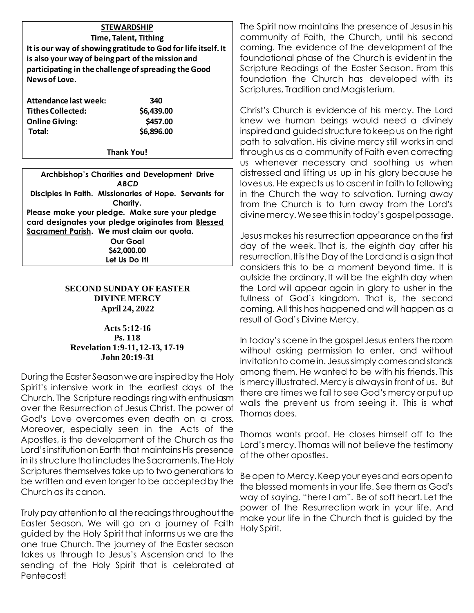# **STEWARDSHIP Time, Talent, Tithing It is our way of showing gratitude to God for life itself. It is also your way of being part of the mission and participating in the challenge of spreading the Good News of Love.**

| Attendance last week:    | 340        |
|--------------------------|------------|
| <b>Tithes Collected:</b> | \$6,439.00 |
| <b>Online Giving:</b>    | \$457.00   |
| Total:                   | \$6,896.00 |

**Thank You!**

**Archbishop's Charities and Development Drive** *ABCD* **Disciples in Faith. Missionaries of Hope. Servants for Charity. Please make your pledge. Make sure your pledge card designates your pledge originates from Blessed Sacrament Parish. We must claim our quota. Our Goal \$62,000.00 Let Us Do It!**

### **SECOND SUNDAY OF EASTER DIVINE MERCY April 24, 2022**

#### **Acts 5:12-16 Ps. 118 Revelation 1:9-11, 12-13, 17-19 John 20:19-31**

During the Easter Season we are inspired by the Holy Spirit's intensive work in the earliest days of the Church. The Scripture readings ring with enthusiasm over the Resurrection of Jesus Christ. The power of God's Love overcomes even death on a cross. Moreover, especially seen in the Acts of the Apostles, is the development of the Church as the Lord's institution on Earth that maintains His presence in its structure that includes the Sacraments. The Holy Scriptures themselves take up to two generations to be written and even longer to be accepted by the Church as its canon.

Truly pay attention to all the readings throughout the Easter Season. We will go on a journey of Faith guided by the Holy Spirit that informs us we are the one true Church. The journey of the Easter season takes us through to Jesus's Ascension and to the sending of the Holy Spirit that is celebrated at Pentecost!

The Spirit now maintains the presence of Jesus in his community of Faith, the Church, until his second coming. The evidence of the development of the foundational phase of the Church is evident in the Scripture Readings of the Easter Season. From this foundation the Church has developed with its Scriptures, Tradition and Magisterium.

Christ's Church is evidence of his mercy. The Lord knew we human beings would need a divinely inspired and guided structure to keep us on the right path to salvation. His divine mercy still works in and through us as a community of Faith even correcting us whenever necessary and soothing us when distressed and lifting us up in his glory because he loves us. He expects us to ascent in faith to following in the Church the way to salvation. Turning away from the Church is to turn away from the Lord's divine mercy. We see this in today's gospel passage.

Jesus makes his resurrection appearance on the first day of the week. That is, the eighth day after his resurrection. It is the Day of the Lord and is a sign that considers this to be a moment beyond time. It is outside the ordinary. It will be the eighth day when the Lord will appear again in glory to usher in the fullness of God's kingdom. That is, the second coming. All this has happened and will happen as a result of God's Divine Mercy.

In today's scene in the gospel Jesus enters the room without asking permission to enter, and without invitation to come in. Jesus simply comes and stands among them. He wanted to be with his friends. This is mercy illustrated. Mercy is always in front of us. But there are times we fail to see God's mercy or put up walls the prevent us from seeing it. This is what Thomas does.

Thomas wants proof. He closes himself off to the Lord's mercy. Thomas will not believe the testimony of the other apostles.

Be open to Mercy. Keep your eyes and ears open to the blessed moments in your life. See them as God's way of saying, "here I am". Be of soft heart. Let the power of the Resurrection work in your life. And make your life in the Church that is guided by the Holy Spirit.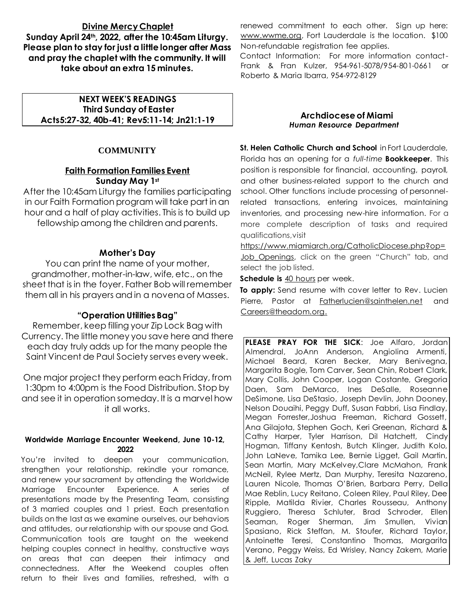# **Divine Mercy Chaplet Sunday April 24th, 2022, after the 10:45am Liturgy. Please plan to stay for just a little longer after Mass and pray the chaplet with the community. It will take about an extra 15 minutes.**

### **NEXT WEEK'S READINGS Third Sunday of Easter Acts5:27-32, 40b-41; Rev5:11-14; Jn21:1-19**

# **COMMUNITY**

# **Faith Formation Families Event Sunday May 1st**

After the 10:45am Liturgy the families participating in our Faith Formation program will take part in an hour and a half of play activities. This is to build up fellowship among the children and parents.

# **Mother's Day**

You can print the name of your mother, grandmother, mother-in-law, wife, etc., on the sheet that is in the foyer. Father Bob will remember them all in his prayers and in a novena of Masses.

### **"Operation Utilities Bag"**

Remember, keep filling your Zip Lock Bag with Currency. The little money you save here and there each day truly adds up for the many people the Saint Vincent de Paul Society serves every week.

One major project they perform each Friday, from 1:30pm to 4:00pm is the Food Distribution. Stop by and see it in operation someday. It is a marvel how it all works.

#### **Worldwide Marriage Encounter Weekend, June 10-12, 2022**

You're invited to deepen your communication, strengthen your relationship, rekindle your romance, and renew your sacrament by attending the Worldwide Marriage Encounter Experience. A series of presentations made by the Presenting Team, consisting of 3 married couples and 1 priest. Each presentation builds on the last as we examine ourselves, our behaviors and attitudes, our relationship with our spouse and God. Communication tools are taught on the weekend helping couples connect in healthy, constructive ways on areas that can deepen their intimacy and connectedness. After the Weekend couples often return to their lives and families, refreshed, with a

renewed commitment to each other. Sign up here: [www.wwme.org,](http://www.wwme.org/) Fort Lauderdale is the location. \$100 Non-refundable registration fee applies.

Contact Information: For more information contact-Frank & Fran Kulzer, 954-961-5078/954-801-0661 or Roberto & Maria Ibarra, 954-972-8129

#### **Archdiocese of Miami** *Human Resource Department*

**St. Helen Catholic Church and School** in Fort Lauderdale, Florida has an opening for a *full-time* **Bookkeeper**. This position is responsible for financial, accounting, payroll, and other business-related support to the church and school. Other functions include processing of personnelrelated transactions, entering invoices, maintaining inventories, and processing new-hire information. For a more complete description of tasks and required qualifications,visit

[https://www.miamiarch.org/CatholicDiocese.php?op=](https://www.miamiarch.org/CatholicDiocese.php?op=Job_Openings) Job Openings, click on the green "Church" tab, and select the job listed.

**Schedule is** 40 hours per week.

**To apply:** Send resume with cover letter to Rev. Lucien Pierre, Pastor at [Fatherlucien@sainthelen.net](mailto:Fatherlucien@sainthelen.net) and [Careers@theadom.org.](mailto:Careers@theadom.org.)

**PLEASE PRAY FOR THE SICK**: Joe Alfaro, Jordan Almendral, JoAnn Anderson, Angiolina Armenti, Michael Beard, Karen Becker, Mary Benivegna, Margarita Bogle, Tom Carver, Sean Chin, Robert Clark, Mary Collis, John Cooper, Logan Costante, Gregoria Daen, Sam DeMarco, Ines DeSalle, Roseanne DeSimone, Lisa DeStasio, Joseph Devlin, John Dooney, Nelson Douaihi, Peggy Duff, Susan Fabbri, Lisa Findlay, Megan Forrester,Joshua Freeman, Richard Gossett, Ana Gilajota, Stephen Goch, Keri Greenan, Richard & Cathy Harper, Tyler Harrison, Dil Hatchett, Cindy Hogman, Tiffany Kentosh, Butch Klinger, Judith Kolo, John LaNeve, Tamika Lee, Bernie Ligget, Gail Martin, Sean Martin, Mary McKelvey,Clare McMahon, Frank McNeil, Rylee Mertz, Dan Murphy, Teresita Nazareno, Lauren Nicole, Thomas O'Brien, Barbara Perry, Della Mae Reblin, Lucy Reitano, Coleen Riley, Paul Riley, Dee Ripple, Matilda Rivier, Charles Rousseau, Anthony Ruggiero, Theresa Schluter, Brad Schroder, Ellen Seaman, Roger Sherman, Jim Smullen, Vivian Spasiano, Rick Steffan, M. Stoufer, Richard Taylor, Antoinette Teresi, Constantino Thomas, Margarita Verano, Peggy Weiss, Ed Wrisley, Nancy Zakem, Marie & Jeff, Lucas Zaky